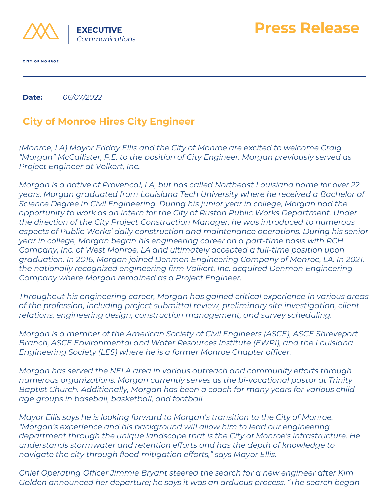

**CITY OF MONROE** 

**Date:** *06/07/2022*

## **City of Monroe Hires City Engineer**

*(Monroe, LA) Mayor Friday Ellis and the City of Monroe are excited to welcome Craig "Morgan" McCallister, P.E. to the position of City Engineer. Morgan previously served as Project Engineer at Volkert, Inc.*

**Press Release**

*Morgan is a native of Provencal, LA, but has called Northeast Louisiana home for over 22 years. Morgan graduated from Louisiana Tech University where he received a Bachelor of Science Degree in Civil Engineering. During his junior year in college, Morgan had the opportunity to work as an intern for the City of Ruston Public Works Department. Under the direction of the City Project Construction Manager, he was introduced to numerous aspects of Public Works' daily construction and maintenance operations. During his senior year in college, Morgan began his engineering career on a part-time basis with RCH Company, Inc. of West Monroe, LA and ultimately accepted a full-time position upon graduation. In 2016, Morgan joined Denmon Engineering Company of Monroe, LA. In 2021, the nationally recognized engineering firm Volkert, Inc. acquired Denmon Engineering Company where Morgan remained as a Project Engineer.*

*Throughout his engineering career, Morgan has gained critical experience in various areas of the profession, including project submittal review, preliminary site investigation, client relations, engineering design, construction management, and survey scheduling.*

*Morgan is a member of the American Society of Civil Engineers (ASCE), ASCE Shreveport Branch, ASCE Environmental and Water Resources Institute (EWRI), and the Louisiana Engineering Society (LES) where he is a former Monroe Chapter officer.*

*Morgan has served the NELA area in various outreach and community efforts through numerous organizations. Morgan currently serves as the bi-vocational pastor at Trinity Baptist Church. Additionally, Morgan has been a coach for many years for various child age groups in baseball, basketball, and football.*

*Mayor Ellis says he is looking forward to Morgan's transition to the City of Monroe. "Morgan's experience and his background will allow him to lead our engineering department through the unique landscape that is the City of Monroe's infrastructure. He understands stormwater and retention efforts and has the depth of knowledge to navigate the city through flood mitigation efforts," says Mayor Ellis.*

*Chief Operating Officer Jimmie Bryant steered the search for a new engineer after Kim Golden announced her departure; he says it was an arduous process. "The search began*